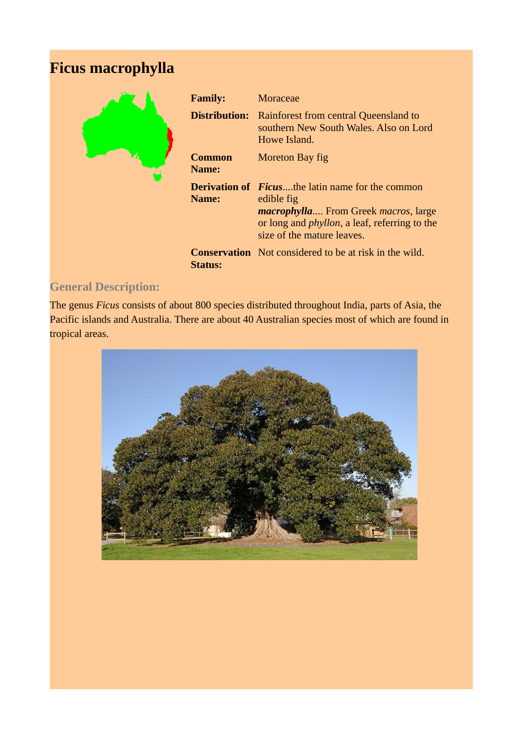## **Ficus macrophylla**



| <b>Family:</b>       | <b>Moraceae</b>                                                                                                                                                                                                     |
|----------------------|---------------------------------------------------------------------------------------------------------------------------------------------------------------------------------------------------------------------|
| <b>Distribution:</b> | Rainforest from central Queensland to<br>southern New South Wales. Also on Lord<br>Howe Island.                                                                                                                     |
| Common<br>Name:      | Moreton Bay fig                                                                                                                                                                                                     |
| Name:                | <b>Derivation of Ficusthe latin name for the common</b><br>edible fig<br><i>macrophylla</i> From Greek <i>macros</i> , large<br>or long and <i>phyllon</i> , a leaf, referring to the<br>size of the mature leaves. |
| <b>Status:</b>       | <b>Conservation</b> Not considered to be at risk in the wild.                                                                                                                                                       |

## **General Description:**

The genus *Ficus* consists of about 800 species distributed throughout India, parts of Asia, the Pacific islands and Australia. There are about 40 Australian species most of which are found in tropical areas.